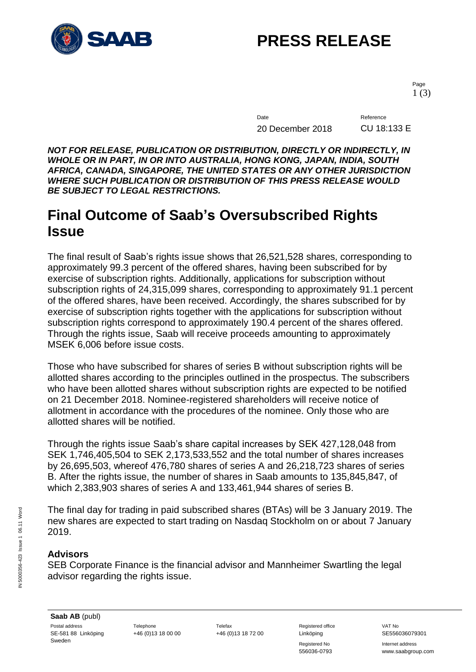

# **PRESS RELEASE**

Page 1 (3)

Date Reference 20 December 2018 CU 18:133 E

*NOT FOR RELEASE, PUBLICATION OR DISTRIBUTION, DIRECTLY OR INDIRECTLY, IN WHOLE OR IN PART, IN OR INTO AUSTRALIA, HONG KONG, JAPAN, INDIA, SOUTH AFRICA, CANADA, SINGAPORE, THE UNITED STATES OR ANY OTHER JURISDICTION WHERE SUCH PUBLICATION OR DISTRIBUTION OF THIS PRESS RELEASE WOULD BE SUBJECT TO LEGAL RESTRICTIONS.*

#### **Final Outcome of Saab's Oversubscribed Rights Issue**

The final result of Saab's rights issue shows that 26,521,528 shares, corresponding to approximately 99.3 percent of the offered shares, having been subscribed for by exercise of subscription rights. Additionally, applications for subscription without subscription rights of 24,315,099 shares, corresponding to approximately 91.1 percent of the offered shares, have been received. Accordingly, the shares subscribed for by exercise of subscription rights together with the applications for subscription without subscription rights correspond to approximately 190.4 percent of the shares offered. Through the rights issue, Saab will receive proceeds amounting to approximately MSEK 6,006 before issue costs.

Those who have subscribed for shares of series B without subscription rights will be allotted shares according to the principles outlined in the prospectus. The subscribers who have been allotted shares without subscription rights are expected to be notified on 21 December 2018. Nominee-registered shareholders will receive notice of allotment in accordance with the procedures of the nominee. Only those who are allotted shares will be notified.

Through the rights issue Saab's share capital increases by SEK 427,128,048 from SEK 1,746,405,504 to SEK 2,173,533,552 and the total number of shares increases by 26,695,503, whereof 476,780 shares of series A and 26,218,723 shares of series B. After the rights issue, the number of shares in Saab amounts to 135,845,847, of which 2,383,903 shares of series A and 133,461,944 shares of series B.

The final day for trading in paid subscribed shares (BTAs) will be 3 January 2019. The new shares are expected to start trading on Nasdaq Stockholm on or about 7 January 2019.

#### **Advisors**

SEB Corporate Finance is the financial advisor and Mannheimer Swartling the legal advisor regarding the rights issue.

+46 (0)13 18 00 00 +46 (0)13 18 72 00 Linköping SE556036079301

Registered No **Internet address** 

556036-0793 www.saabgroup.com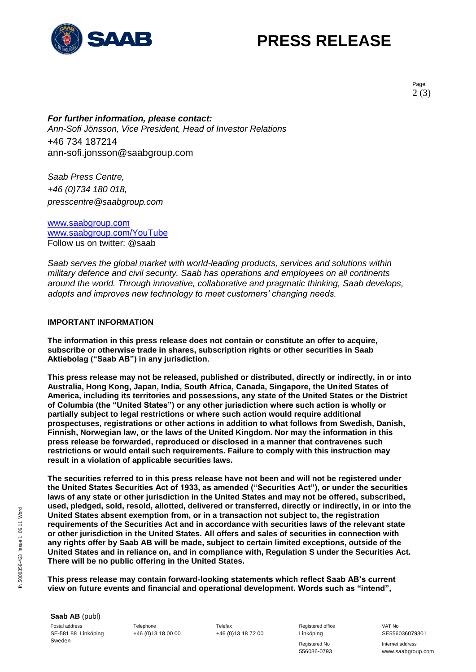

## **PRESS RELEASE**

Page 2 (3)

*For further information, please contact: Ann-Sofi Jönsson, Vice President, Head of Investor Relations* +46 734 187214 ann-sofi.jonsson@saabgroup.com

*Saab Press Centre, +46 (0)734 180 018, presscentre@saabgroup.com*

[www.saabgroup.com](http://www.saabgroup.com/) [www.saabgroup.com/YouTube](http://www.saabgroup.com/YouTube) Follow us on twitter: @saab

*Saab serves the global market with world-leading products, services and solutions within military defence and civil security. Saab has operations and employees on all continents around the world. Through innovative, collaborative and pragmatic thinking, Saab develops, adopts and improves new technology to meet customers' changing needs.*

#### **IMPORTANT INFORMATION**

**The information in this press release does not contain or constitute an offer to acquire, subscribe or otherwise trade in shares, subscription rights or other securities in Saab Aktiebolag ("Saab AB") in any jurisdiction.**

**This press release may not be released, published or distributed, directly or indirectly, in or into Australia, Hong Kong, Japan, India, South Africa, Canada, Singapore, the United States of America, including its territories and possessions, any state of the United States or the District of Columbia (the "United States") or any other jurisdiction where such action is wholly or partially subject to legal restrictions or where such action would require additional prospectuses, registrations or other actions in addition to what follows from Swedish, Danish, Finnish, Norwegian law, or the laws of the United Kingdom. Nor may the information in this press release be forwarded, reproduced or disclosed in a manner that contravenes such restrictions or would entail such requirements. Failure to comply with this instruction may result in a violation of applicable securities laws.**

**The securities referred to in this press release have not been and will not be registered under the United States Securities Act of 1933, as amended ("Securities Act"), or under the securities laws of any state or other jurisdiction in the United States and may not be offered, subscribed, used, pledged, sold, resold, allotted, delivered or transferred, directly or indirectly, in or into the United States absent exemption from, or in a transaction not subject to, the registration requirements of the Securities Act and in accordance with securities laws of the relevant state or other jurisdiction in the United States. All offers and sales of securities in connection with any rights offer by Saab AB will be made, subject to certain limited exceptions, outside of the United States and in reliance on, and in compliance with, Regulation S under the Securities Act. There will be no public offering in the United States.**

**This press release may contain forward-looking statements which reflect Saab AB's current view on future events and financial and operational development. Words such as "intend",** 

**Saab AB** (publ) Postal address **Telephone** Telephone Telefax Telefax Registered office VAT No SE-581 88 Linköping Sweden

+46 (0)13 18 00 00 +46 (0)13 18 72 00 Linköping SE556036079301

Registered No **Internet address** 556036-0793 www.saabgroup.com